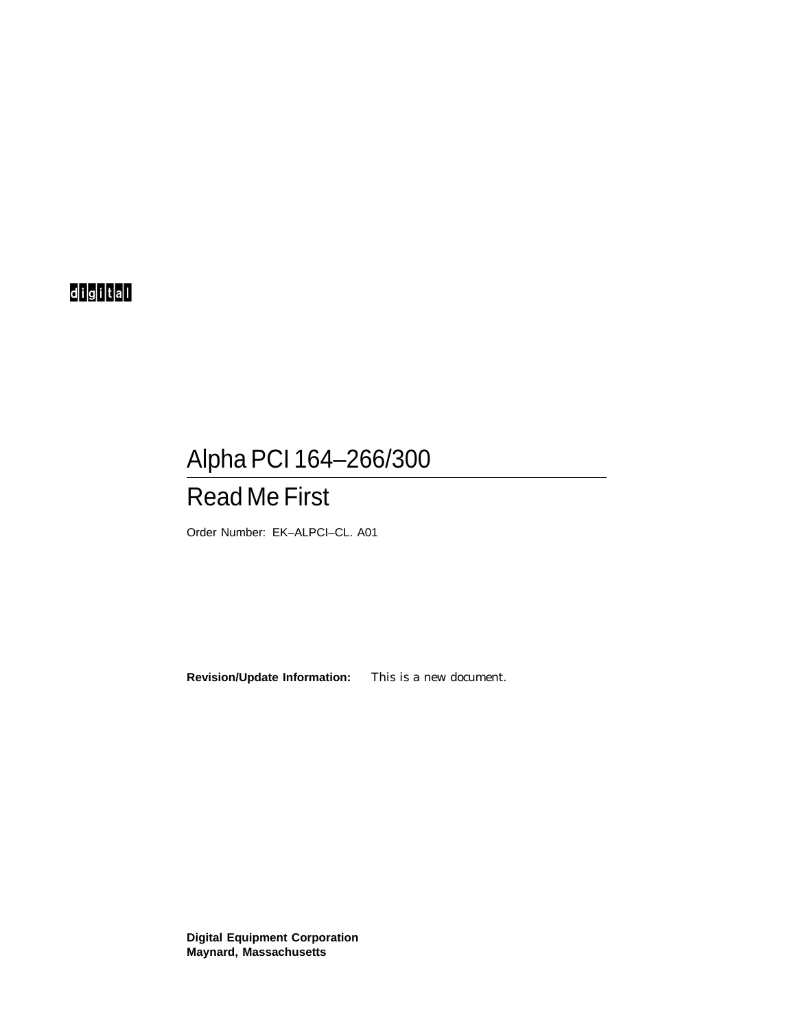# d<mark>ig</mark>ital

# Alpha PCI 164–266/300

# Read Me First

Order Number: EK–ALPCI–CL. A01

**Revision/Update Information:** This is a new document.

**Digital Equipment Corporation Maynard, Massachusetts**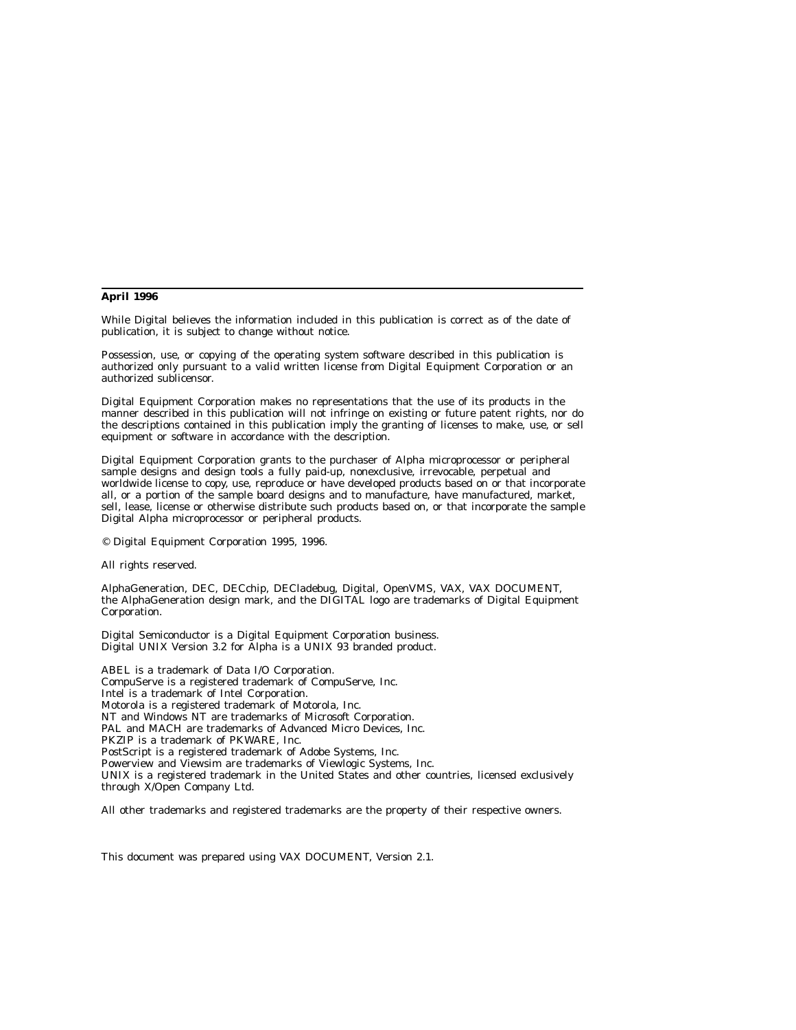#### **April 1996**

While Digital believes the information included in this publication is correct as of the date of publication, it is subject to change without notice.

Possession, use, or copying of the operating system software described in this publication is authorized only pursuant to a valid written license from Digital Equipment Corporation or an authorized sublicensor.

Digital Equipment Corporation makes no representations that the use of its products in the manner described in this publication will not infringe on existing or future patent rights, nor do the descriptions contained in this publication imply the granting of licenses to make, use, or sell equipment or software in accordance with the description.

Digital Equipment Corporation grants to the purchaser of Alpha microprocessor or peripheral sample designs and design tools a fully paid-up, nonexclusive, irrevocable, perpetual and worldwide license to copy, use, reproduce or have developed products based on or that incorporate all, or a portion of the sample board designs and to manufacture, have manufactured, market, sell, lease, license or otherwise distribute such products based on, or that incorporate the sample Digital Alpha microprocessor or peripheral products.

© Digital Equipment Corporation 1995, 1996.

All rights reserved.

AlphaGeneration, DEC, DECchip, DECladebug, Digital, OpenVMS, VAX, VAX DOCUMENT, the AlphaGeneration design mark, and the DIGITAL logo are trademarks of Digital Equipment Corporation.

Digital Semiconductor is a Digital Equipment Corporation business. Digital UNIX Version 3.2 for Alpha is a UNIX 93 branded product.

ABEL is a trademark of Data I/O Corporation. CompuServe is a registered trademark of CompuServe, Inc. Intel is a trademark of Intel Corporation. Motorola is a registered trademark of Motorola, Inc. NT and Windows NT are trademarks of Microsoft Corporation. PAL and MACH are trademarks of Advanced Micro Devices, Inc. PKZIP is a trademark of PKWARE, Inc. PostScript is a registered trademark of Adobe Systems, Inc. Powerview and Viewsim are trademarks of Viewlogic Systems, Inc. UNIX is a registered trademark in the United States and other countries, licensed exclusively through X/Open Company Ltd.

All other trademarks and registered trademarks are the property of their respective owners.

This document was prepared using VAX DOCUMENT, Version 2.1.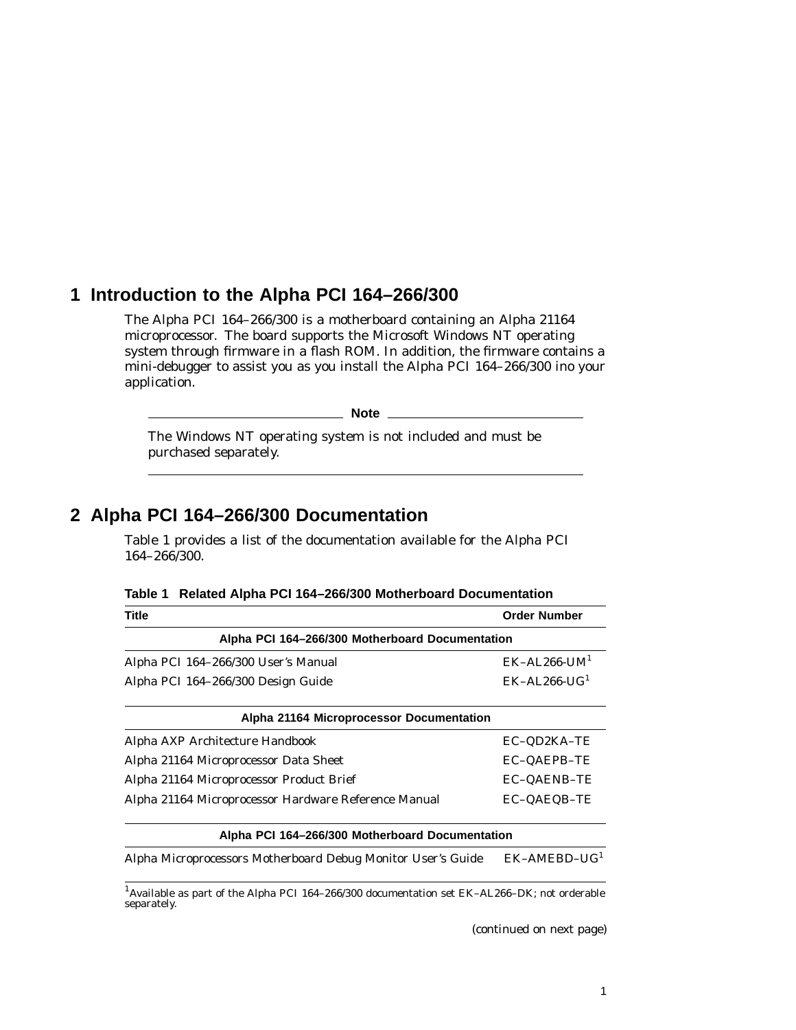## **1 Introduction to the Alpha PCI 164–266/300**

The Alpha PCI 164–266/300 is a motherboard containing an Alpha 21164 microprocessor. The board supports the Microsoft Windows NT operating system through firmware in a flash ROM. In addition, the firmware contains a mini-debugger to assist you as you install the Alpha PCI 164–266/300 ino your application.

**Note**

The Windows NT operating system is not included and must be purchased separately.

### **2 Alpha PCI 164–266/300 Documentation**

Table 1 provides a list of the documentation available for the Alpha PCI 164–266/300.

| <b>Title</b>                                                 | <b>Order Number</b>         |
|--------------------------------------------------------------|-----------------------------|
| Alpha PCI 164-266/300 Motherboard Documentation              |                             |
| Alpha PCI 164-266/300 User's Manual                          | $EK-AL266$ -UM <sup>1</sup> |
| Alpha PCI 164-266/300 Design Guide                           | $EK-AL266-UG1$              |
| Alpha 21164 Microprocessor Documentation                     |                             |
| Alpha AXP Architecture Handbook                              | EC-QD2KA-TE                 |
| Alpha 21164 Microprocessor Data Sheet                        | <b>EC-QAEPB-TE</b>          |
| Alpha 21164 Microprocessor Product Brief                     | <b>EC-QAENB-TE</b>          |
| Alpha 21164 Microprocessor Hardware Reference Manual         | EC-QAEQB-TE                 |
| Alpha PCI 164-266/300 Motherboard Documentation              |                             |
| Alpha Microprocessors Motherboard Debug Monitor User's Guide | $EK-AMEBD-UG1$              |

**Table 1 Related Alpha PCI 164–266/300 Motherboard Documentation**

 $^{1}$  Available as part of the Alpha PCI 164–266/300 documentation set EK–AL266–DK; not orderable separately.

(continued on next page)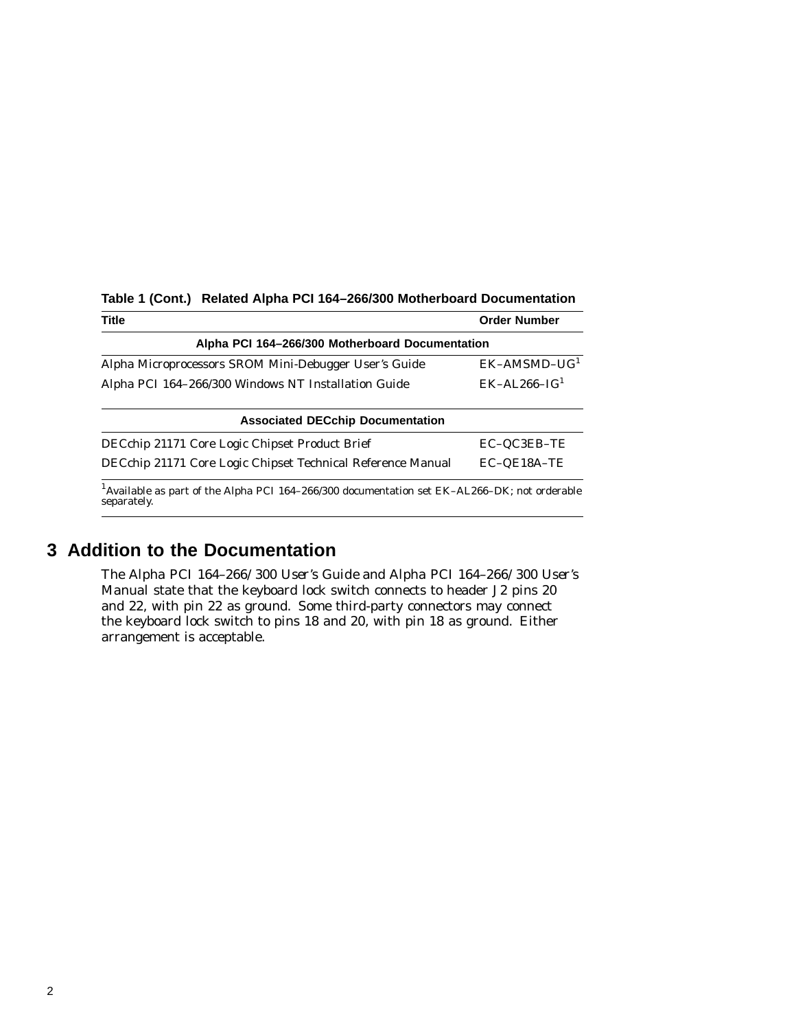| Title                                                                                                                   | <b>Order Number</b> |  |
|-------------------------------------------------------------------------------------------------------------------------|---------------------|--|
| Alpha PCI 164-266/300 Motherboard Documentation                                                                         |                     |  |
| Alpha Microprocessors SROM Mini-Debugger User's Guide                                                                   | $EK-AMSMD-UG1$      |  |
| Alpha PCI 164-266/300 Windows NT Installation Guide                                                                     | $EK-AL.266-IG1$     |  |
| <b>Associated DECchip Documentation</b>                                                                                 |                     |  |
| DECchip 21171 Core Logic Chipset Product Brief                                                                          | EC-QC3EB-TE         |  |
| DECchip 21171 Core Logic Chipset Technical Reference Manual                                                             | EC-OE18A-TE         |  |
| <sup>1</sup> Available as part of the Alpha PCI 164–266/300 documentation set EK-AL266–DK; not orderable<br>separately. |                     |  |

#### **Table 1 (Cont.) Related Alpha PCI 164–266/300 Motherboard Documentation**

### **3 Addition to the Documentation**

The *Alpha PCI 164–266/300 User's Guide* and *Alpha PCI 164–266/300 User's Manual* state that the keyboard lock switch connects to header J2 pins 20 and 22, with pin 22 as ground. Some third-party connectors may connect the keyboard lock switch to pins 18 and 20, with pin 18 as ground. Either arrangement is acceptable.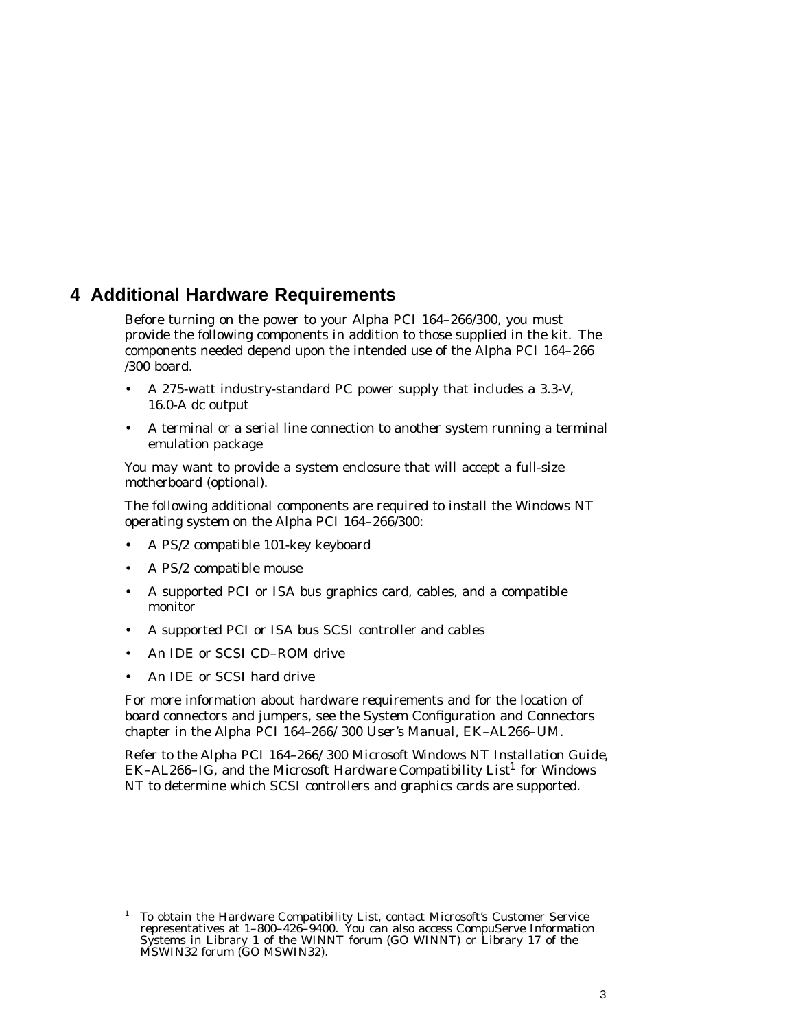### **4 Additional Hardware Requirements**

Before turning on the power to your Alpha PCI 164–266/300, you must provide the following components in addition to those supplied in the kit. The components needed depend upon the intended use of the Alpha PCI 164–266 /300 board.

- A 275-watt industry-standard PC power supply that includes a 3.3-V, 16.0-A dc output
- A terminal or a serial line connection to another system running a terminal emulation package

You may want to provide a system enclosure that will accept a full-size motherboard (optional).

The following additional components are required to install the Windows NT operating system on the Alpha PCI 164–266/300:

- A PS/2 compatible 101-key keyboard
- A PS/2 compatible mouse
- A supported PCI or ISA bus graphics card, cables, and a compatible monitor
- A supported PCI or ISA bus SCSI controller and cables
- An IDE or SCSI CD–ROM drive
- An IDE or SCSI hard drive

For more information about hardware requirements and for the location of board connectors and jumpers, see the System Configuration and Connectors chapter in the *Alpha PCI 164–266/300 User's Manual*, EK–AL266–UM.

Refer to the *Alpha PCI 164–266/300 Microsoft Windows NT Installation Guide*, EK–AL266–IG, and the Microsoft *Hardware Compatibility List*<sup>1</sup> for Windows NT to determine which SCSI controllers and graphics cards are supported.

<sup>&</sup>lt;sup>1</sup> To obtain the *Hardware Compatibility List*, contact Microsoft's Customer Service representatives at 1–800–426–9400. You can also access CompuServe Information Systems in Library 1 of the WINNT forum (GO WINNT) or Library 17 of the MSWIN32 forum (GO MSWIN32).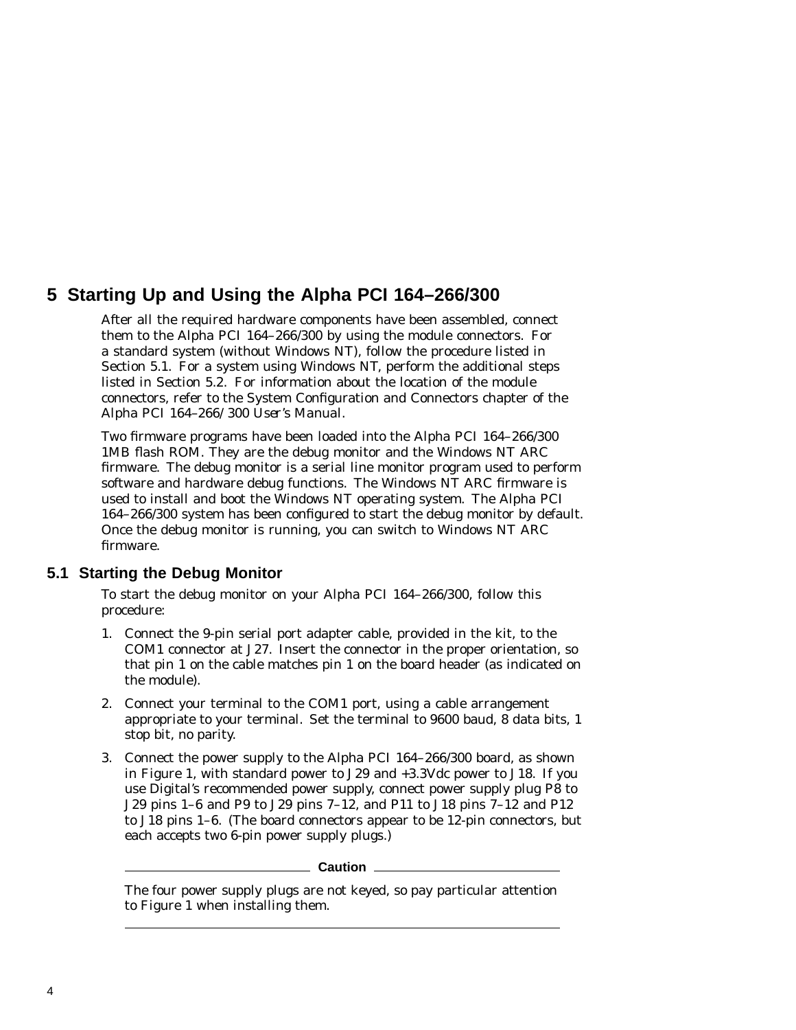# **5 Starting Up and Using the Alpha PCI 164–266/300**

After all the required hardware components have been assembled, connect them to the Alpha PCI 164–266/300 by using the module connectors. For a standard system (without Windows NT), follow the procedure listed in Section 5.1. For a system using Windows NT, perform the additional steps listed in Section 5.2. For information about the location of the module connectors, refer to the System Configuration and Connectors chapter of the *Alpha PCI 164–266/300 User's Manual*.

Two firmware programs have been loaded into the Alpha PCI 164–266/300 1MB flash ROM. They are the debug monitor and the Windows NT ARC firmware. The debug monitor is a serial line monitor program used to perform software and hardware debug functions. The Windows NT ARC firmware is used to install and boot the Windows NT operating system. The Alpha PCI 164–266/300 system has been configured to start the debug monitor by default. Once the debug monitor is running, you can switch to Windows NT ARC firmware.

#### **5.1 Starting the Debug Monitor**

To start the debug monitor on your Alpha PCI 164–266/300, follow this procedure:

- 1. Connect the 9-pin serial port adapter cable, provided in the kit, to the COM1 connector at J27. Insert the connector in the proper orientation, so that pin 1 on the cable matches pin 1 on the board header (as indicated on the module).
- 2. Connect your terminal to the COM1 port, using a cable arrangement appropriate to your terminal. Set the terminal to 9600 baud,  $\overline{8}$  data bits, 1 stop bit, no parity.
- 3. Connect the power supply to the Alpha PCI 164–266/300 board, as shown in Figure 1, with standard power to J29 and +3.3Vdc power to J18. If you use Digital's recommended power supply, connect power supply plug P8 to J29 pins 1–6 and P9 to J29 pins 7–12, and P11 to J18 pins 7–12 and P12 to J18 pins 1–6. (The board connectors appear to be 12-pin connectors, but each accepts two 6-pin power supply plugs.)

#### **Caution**

The four power supply plugs are not keyed, so pay particular attention to Figure 1 when installing them.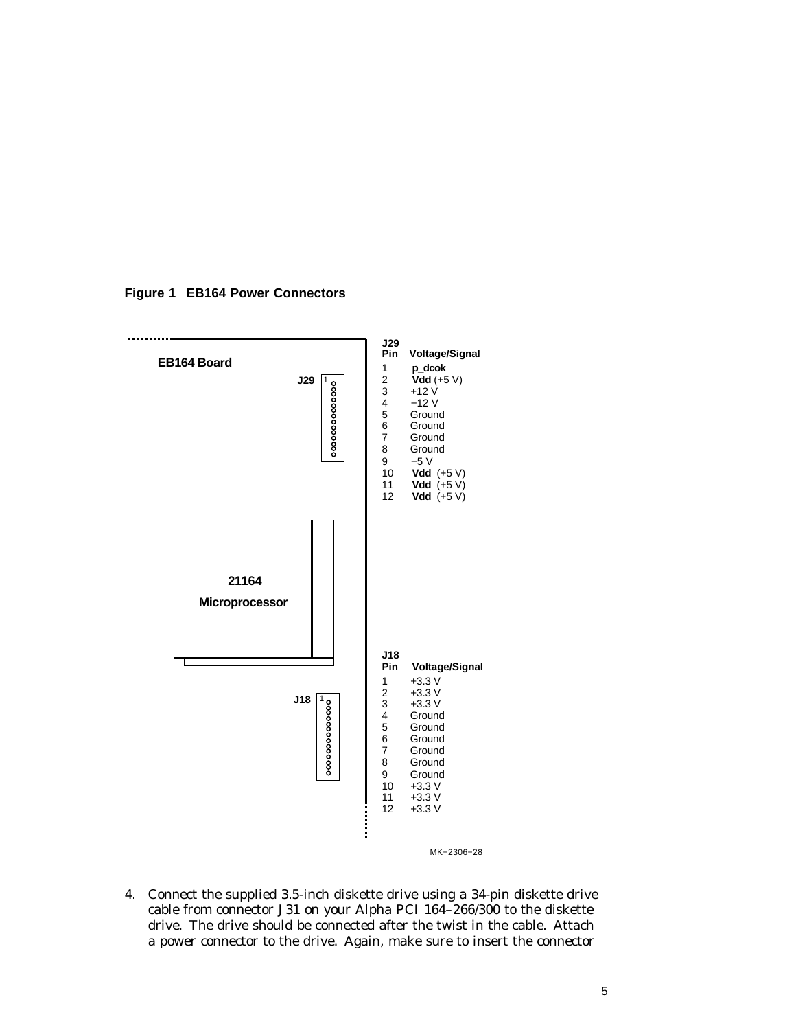

**Figure 1 EB164 Power Connectors**

4. Connect the supplied 3.5-inch diskette drive using a 34-pin diskette drive cable from connector J31 on your Alpha PCI 164–266/300 to the diskette drive. The drive should be connected after the twist in the cable. Attach a power connector to the drive. Again, make sure to insert the connector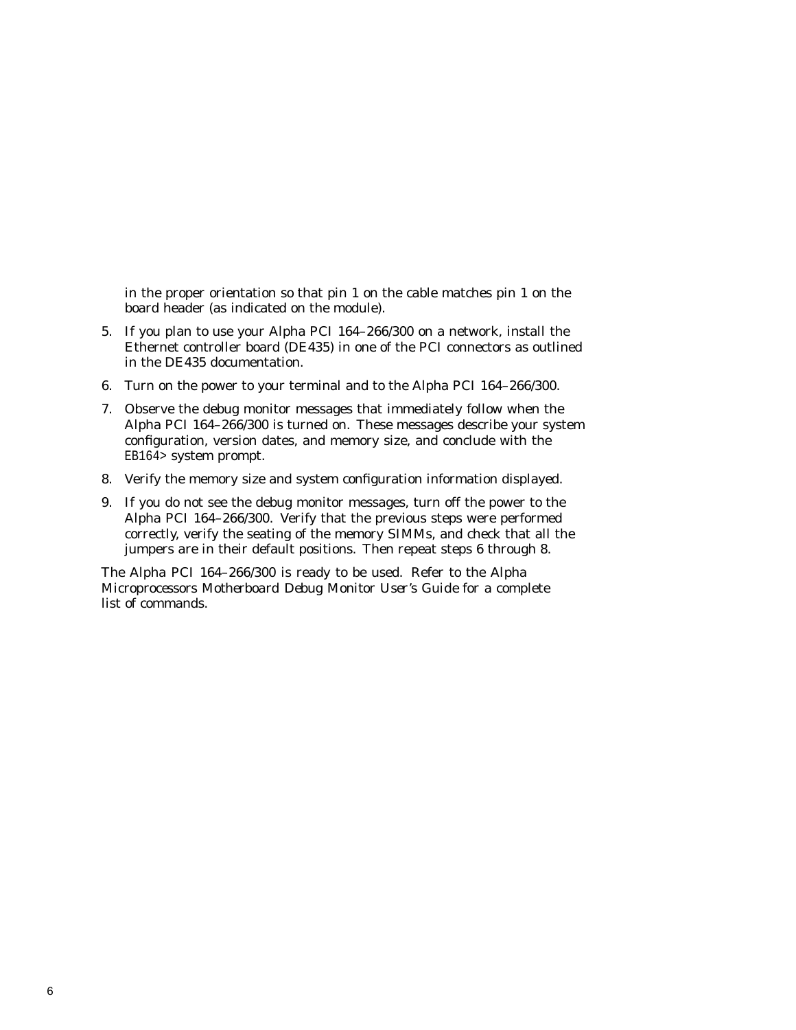in the proper orientation so that pin 1 on the cable matches pin 1 on the board header (as indicated on the module).

- 5. If you plan to use your Alpha PCI 164–266/300 on a network, install the Ethernet controller board (DE435) in one of the PCI connectors as outlined in the DE435 documentation.
- 6. Turn on the power to your terminal and to the Alpha PCI 164–266/300.
- 7. Observe the debug monitor messages that immediately follow when the Alpha PCI 164–266/300 is turned on. These messages describe your system configuration, version dates, and memory size, and conclude with the EB164> system prompt.
- 8. Verify the memory size and system configuration information displayed.
- 9. If you do not see the debug monitor messages, turn off the power to the Alpha PCI 164–266/300. Verify that the previous steps were performed correctly, verify the seating of the memory SIMMs, and check that all the jumpers are in their default positions. Then repeat steps 6 through 8.

The Alpha PCI 164–266/300 is ready to be used. Refer to the *Alpha Microprocessors Motherboard Debug Monitor User's Guide* for a complete list of commands.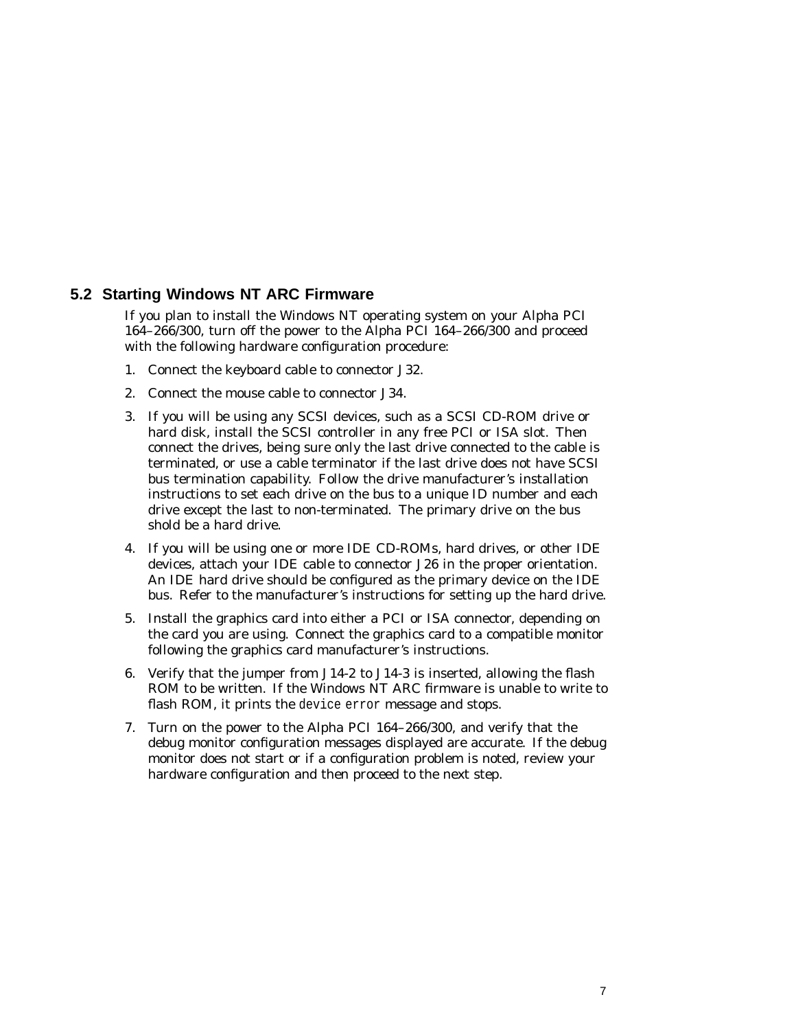#### **5.2 Starting Windows NT ARC Firmware**

If you plan to install the Windows NT operating system on your Alpha PCI 164–266/300, turn off the power to the Alpha PCI 164–266/300 and proceed with the following hardware configuration procedure:

- 1. Connect the keyboard cable to connector J32.
- 2. Connect the mouse cable to connector J34.
- 3. If you will be using any SCSI devices, such as a SCSI CD-ROM drive or hard disk, install the SCSI controller in any free PCI or ISA slot. Then connect the drives, being sure *only* the last drive connected to the cable is terminated, or use a cable terminator if the last drive does not have SCSI bus termination capability. Follow the drive manufacturer's installation instructions to set each drive on the bus to a unique ID number and each drive except the last to non-terminated. The primary drive on the bus shold be a hard drive.
- 4. If you will be using one or more IDE CD-ROMs, hard drives, or other IDE devices, attach your IDE cable to connector J26 in the proper orientation. An IDE hard drive should be configured as the primary device on the IDE bus. Refer to the manufacturer's instructions for setting up the hard drive.
- 5. Install the graphics card into either a PCI or ISA connector, depending on the card you are using. Connect the graphics card to a compatible monitor following the graphics card manufacturer's instructions.
- 6. Verify that the jumper from J14-2 to J14-3 is inserted, allowing the flash ROM to be written. If the Windows NT ARC firmware is unable to write to flash ROM, it prints the device error message and stops.
- 7. Turn on the power to the Alpha PCI 164–266/300, and verify that the debug monitor configuration messages displayed are accurate. If the debug monitor does not start or if a configuration problem is noted, review your hardware configuration and then proceed to the next step.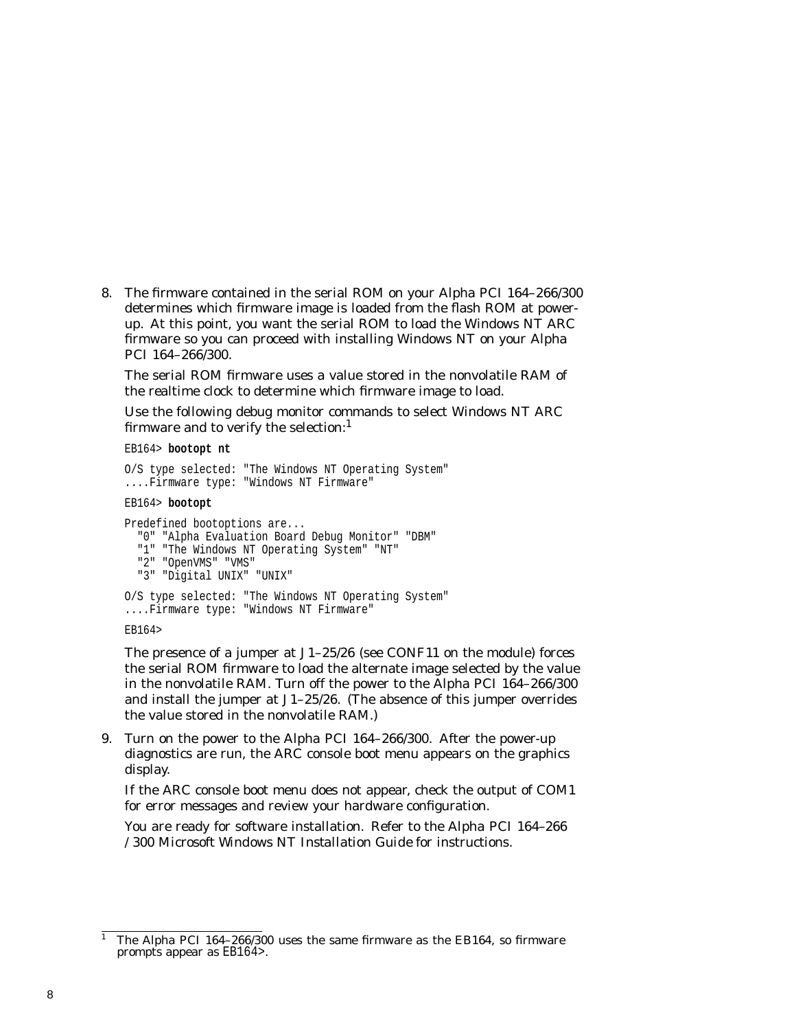8. The firmware contained in the serial ROM on your Alpha PCI 164–266/300 determines which firmware image is loaded from the flash ROM at powerup. At this point, you want the serial ROM to load the Windows NT ARC firmware so you can proceed with installing Windows NT on your Alpha PCI 164–266/300.

The serial ROM firmware uses a value stored in the nonvolatile RAM of the realtime clock to determine which firmware image to load.

Use the following debug monitor commands to select Windows NT ARC firmware and to verify the selection: $<sup>1</sup>$ </sup>

EB164> **bootopt nt**

```
O/S type selected: "The Windows NT Operating System"
....Firmware type: "Windows NT Firmware"
EB164> bootopt
```

```
Predefined bootoptions are...
  "0" "Alpha Evaluation Board Debug Monitor" "DBM"
  "1" "The Windows NT Operating System" "NT"
  "2" "OpenVMS" "VMS"
  "3" "Digital UNIX" "UNIX"
O/S type selected: "The Windows NT Operating System"
....Firmware type: "Windows NT Firmware"
EB164>
```
The presence of a jumper at J1–25/26 (see CONF11 on the module) forces the serial ROM firmware to load the alternate image selected by the value in the nonvolatile RAM. Turn off the power to the Alpha PCI 164–266/300 and install the jumper at J1–25/26. (The absence of this jumper overrides the value stored in the nonvolatile RAM.)

9. Turn on the power to the Alpha PCI 164–266/300. After the power-up diagnostics are run, the ARC console boot menu appears on the graphics display.

If the ARC console boot menu does not appear, check the output of COM1 for error messages and review your hardware configuration.

You are ready for software installation. Refer to the *Alpha PCI 164–266 /300 Microsoft Windows NT Installation Guide* for instructions.

<sup>1</sup> The Alpha PCI 164–266/300 uses the same firmware as the EB164, so firmware prompts appear as EB164>.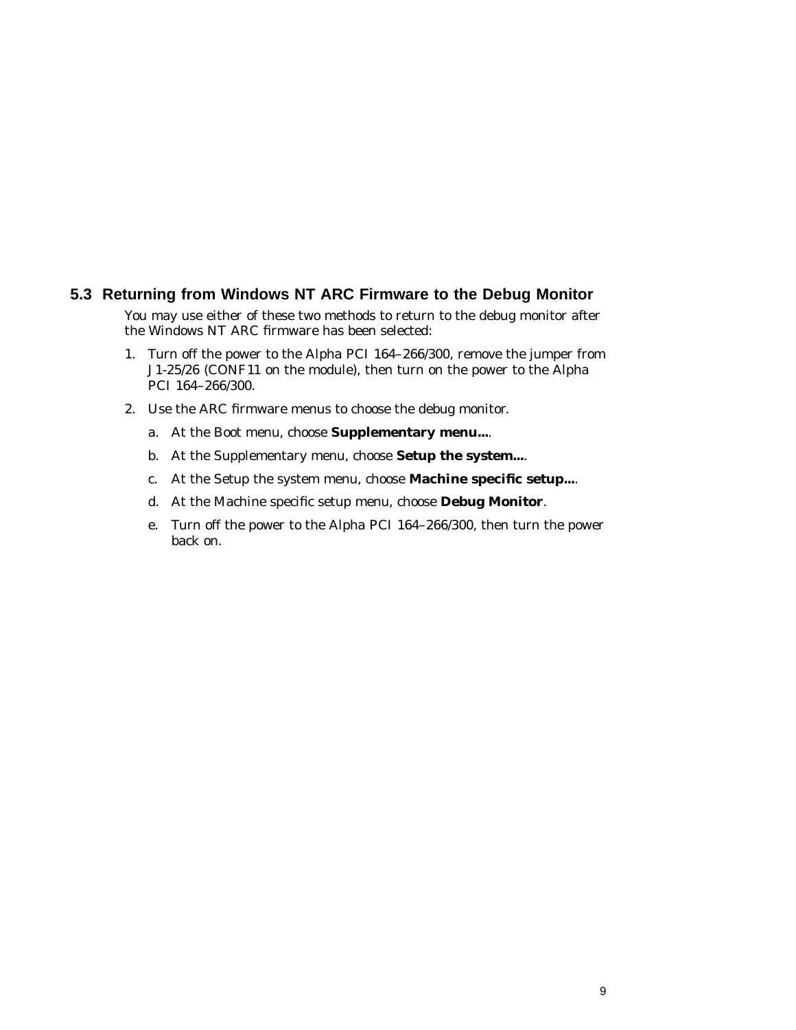#### **5.3 Returning from Windows NT ARC Firmware to the Debug Monitor**

You may use either of these two methods to return to the debug monitor after the Windows NT ARC firmware has been selected:

- 1. Turn off the power to the Alpha PCI 164–266/300, remove the jumper from J1-25/26 (CONF11 on the module), then turn on the power to the Alpha PCI 164–266/300.
- 2. Use the ARC firmware menus to choose the debug monitor.
	- a. At the Boot menu, choose **Supplementary menu...**.
	- b. At the Supplementary menu, choose **Setup the system...**.
	- c. At the Setup the system menu, choose **Machine specific setup...**.
	- d. At the Machine specific setup menu, choose **Debug Monitor**.
	- e. Turn off the power to the Alpha PCI 164–266/300, then turn the power back on.